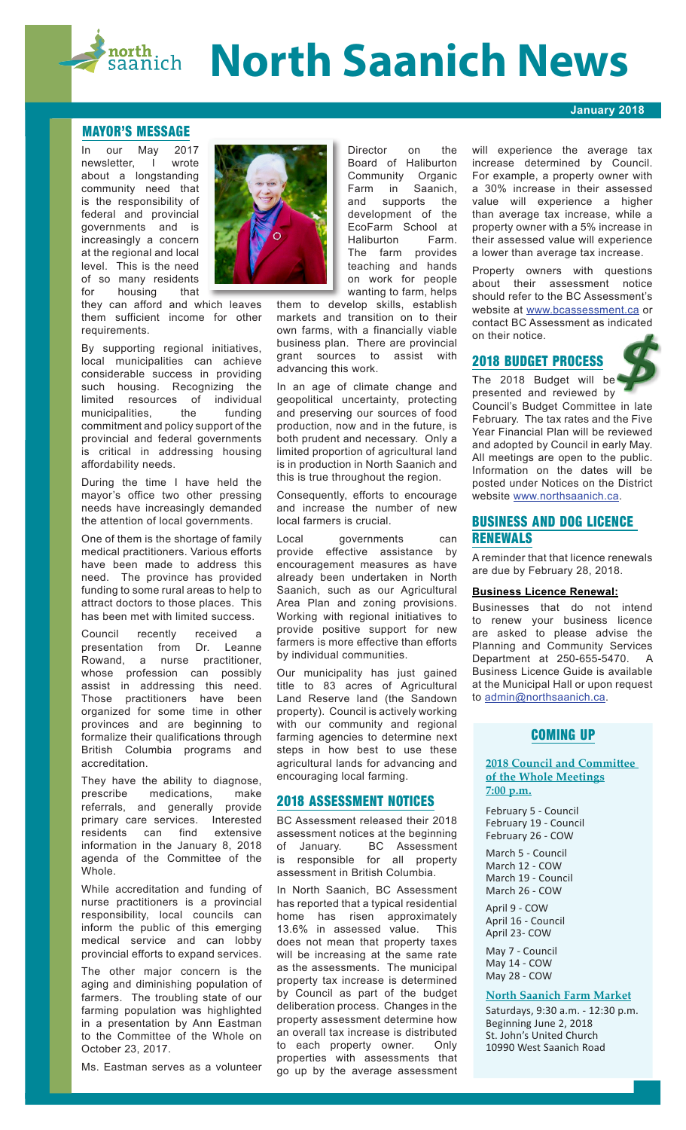# **Rosth Control Saanich News**

#### **MAYOR'S MESSAGE**

our May 2017 newsletter, I wrote about a longstanding community need that is the responsibility of federal and provincial governments and is increasingly a concern at the regional and local level. This is the need of so many residents<br>for bousing that housing that

they can afford and which leaves them sufficient income for other requirements.

By supporting regional initiatives, local municipalities can achieve considerable success in providing such housing. Recognizing the limited resources of individual<br>municipalities the funding municipalities, the funding commitment and policy support of the provincial and federal governments is critical in addressing housing affordability needs.

During the time I have held the mayor's office two other pressing needs have increasingly demanded the attention of local governments.

One of them is the shortage of family medical practitioners. Various efforts have been made to address this need. The province has provided funding to some rural areas to help to attract doctors to those places. This has been met with limited success.

Council recently received a presentation from Dr. Leanne Rowand, a nurse practitioner, whose profession can possibly assist in addressing this need. Those practitioners have been organized for some time in other provinces and are beginning to formalize their qualifications through British Columbia programs and accreditation.

They have the ability to diagnose, prescribe medications, make referrals, and generally provide primary care services. Interested residents can find extensive information in the January 8, 2018 agenda of the Committee of the Whole.

While accreditation and funding of nurse practitioners is a provincial responsibility, local councils can inform the public of this emerging medical service and can lobby provincial efforts to expand services.

The other major concern is the aging and diminishing population of farmers. The troubling state of our farming population was highlighted in a presentation by Ann Eastman to the Committee of the Whole on October 23, 2017.

Ms. Eastman serves as a volunteer



Director on the Board of Haliburton Community Organic Farm in Saanich, and supports the development of the EcoFarm School at Haliburton Farm. The farm provides teaching and hands on work for people wanting to farm, helps

them to develop skills, establish markets and transition on to their own farms, with a financially viable business plan. There are provincial grant sources to assist with advancing this work.

In an age of climate change and geopolitical uncertainty, protecting and preserving our sources of food production, now and in the future, is both prudent and necessary. Only a limited proportion of agricultural land is in production in North Saanich and this is true throughout the region.

Consequently, efforts to encourage and increase the number of new local farmers is crucial.

Local governments can provide effective assistance by encouragement measures as have already been undertaken in North Saanich, such as our Agricultural Area Plan and zoning provisions. Working with regional initiatives to provide positive support for new farmers is more effective than efforts by individual communities.

Our municipality has just gained title to 83 acres of Agricultural Land Reserve land (the Sandown property). Council is actively working with our community and regional farming agencies to determine next steps in how best to use these agricultural lands for advancing and encouraging local farming.

# **2018 ASSESSMENT NOTICES**

BC Assessment released their 2018 assessment notices at the beginning<br>of January. BC Assessment BC Assessment is responsible for all property assessment in British Columbia.

In North Saanich, BC Assessment has reported that a typical residential home has risen approximately 13.6% in assessed value. This does not mean that property taxes will be increasing at the same rate as the assessments. The municipal property tax increase is determined by Council as part of the budget deliberation process. Changes in the property assessment determine how an overall tax increase is distributed to each property owner. Only properties with assessments that go up by the average assessment

will experience the average tax increase determined by Council. For example, a property owner with a 30% increase in their assessed value will experience a higher than average tax increase, while a property owner with a 5% increase in their assessed value will experience a lower than average tax increase.

**January 2018**

Property owners with questions about their assessment notice should refer to the BC Assessment's website at www.bcassessment.ca or contact BC Assessment as indicated on their notice.

# **2018 BUDGET PROCESS**

The 2018 Budget will be presented and reviewed by Council's Budget Committee in late February. The tax rates and the Five Year Financial Plan will be reviewed and adopted by Council in early May. All meetings are open to the public. Information on the dates will be posted under Notices on the District website www.northsaanich.ca.

# **BUSINESS AND DOG LICENCE RENEWALS**

A reminder that that licence renewals are due by February 28, 2018.

## **Business Licence Renewal:**

Businesses that do not intend to renew your business licence are asked to please advise the Planning and Community Services Department at 250-655-5470. A Business Licence Guide is available at the Municipal Hall or upon request to admin@northsaanich.ca.

# **COMING UP**

**2018 Council and Committee of the Whole Meetings 7:00 p.m.**

February 5 - Council February 19 - Council February 26 - COW

March 5 - Council March 12 - COW March 19 - Council March 26 - COW

April 9 - COW April 16 - Council April 23- COW

May 7 - Council May 14 - COW May 28 - COW

### **North Saanich Farm Market**

Saturdays, 9:30 a.m. - 12:30 p.m. Beginning June 2, 2018 St. John's United Church 10990 West Saanich Road